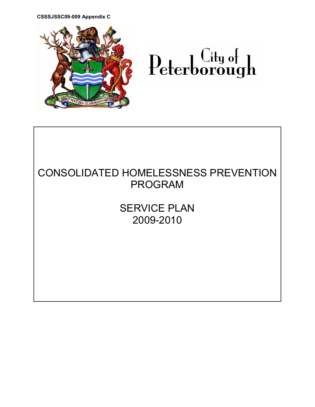CSSSJSSC09-009 Appendix C



# ${\bf Peter borough}$

## CONSOLIDATED HOMELESSNESS PREVENTION PROGRAM

SERVICE PLAN 2009-2010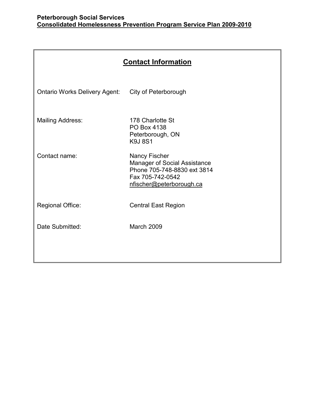| <b>Contact Information</b>           |                                                                                                                                            |  |
|--------------------------------------|--------------------------------------------------------------------------------------------------------------------------------------------|--|
| <b>Ontario Works Delivery Agent:</b> | City of Peterborough                                                                                                                       |  |
| <b>Mailing Address:</b>              | 178 Charlotte St<br>PO Box 4138<br>Peterborough, ON<br><b>K9J8S1</b>                                                                       |  |
| Contact name:                        | <b>Nancy Fischer</b><br><b>Manager of Social Assistance</b><br>Phone 705-748-8830 ext 3814<br>Fax 705-742-0542<br>nfischer@peterborough.ca |  |
| Regional Office:                     | <b>Central East Region</b>                                                                                                                 |  |
| Date Submitted:                      | <b>March 2009</b>                                                                                                                          |  |
|                                      |                                                                                                                                            |  |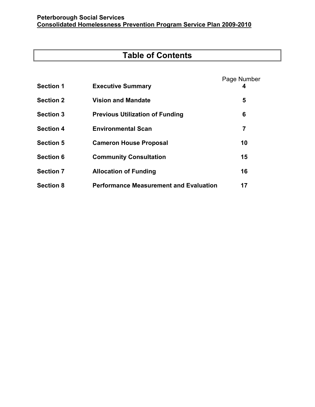## Table of Contents

| <b>Section 1</b> | <b>Executive Summary</b>                      | Page Number<br>4 |
|------------------|-----------------------------------------------|------------------|
| <b>Section 2</b> | <b>Vision and Mandate</b>                     | 5                |
| <b>Section 3</b> | <b>Previous Utilization of Funding</b>        | 6                |
| <b>Section 4</b> | <b>Environmental Scan</b>                     | 7                |
| <b>Section 5</b> | <b>Cameron House Proposal</b>                 | 10               |
| <b>Section 6</b> | <b>Community Consultation</b>                 | 15               |
| <b>Section 7</b> | <b>Allocation of Funding</b>                  | 16               |
| <b>Section 8</b> | <b>Performance Measurement and Evaluation</b> | 17               |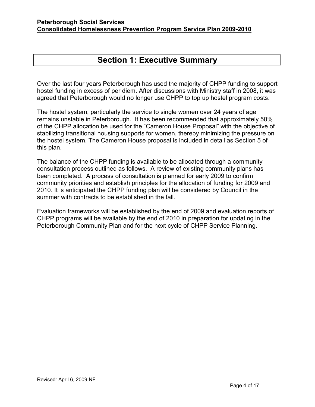## Section 1: Executive Summary

Over the last four years Peterborough has used the majority of CHPP funding to support hostel funding in excess of per diem. After discussions with Ministry staff in 2008, it was agreed that Peterborough would no longer use CHPP to top up hostel program costs.

The hostel system, particularly the service to single women over 24 years of age remains unstable in Peterborough. It has been recommended that approximately 50% of the CHPP allocation be used for the "Cameron House Proposal" with the objective of stabilizing transitional housing supports for women, thereby minimizing the pressure on the hostel system. The Cameron House proposal is included in detail as Section 5 of this plan.

The balance of the CHPP funding is available to be allocated through a community consultation process outlined as follows. A review of existing community plans has been completed. A process of consultation is planned for early 2009 to confirm community priorities and establish principles for the allocation of funding for 2009 and 2010. It is anticipated the CHPP funding plan will be considered by Council in the summer with contracts to be established in the fall.

Evaluation frameworks will be established by the end of 2009 and evaluation reports of CHPP programs will be available by the end of 2010 in preparation for updating in the Peterborough Community Plan and for the next cycle of CHPP Service Planning.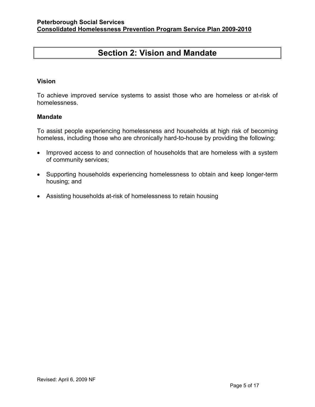## Section 2: Vision and Mandate

#### Vision

To achieve improved service systems to assist those who are homeless or at-risk of homelessness.

#### Mandate

To assist people experiencing homelessness and households at high risk of becoming homeless, including those who are chronically hard-to-house by providing the following:

- Improved access to and connection of households that are homeless with a system of community services;
- Supporting households experiencing homelessness to obtain and keep longer-term housing; and
- Assisting households at-risk of homelessness to retain housing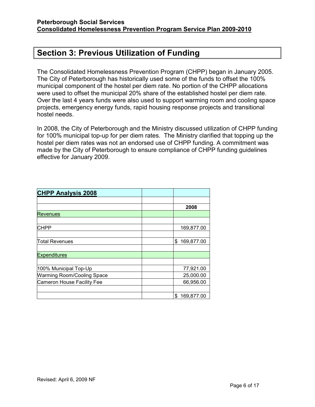## Section 3: Previous Utilization of Funding

The Consolidated Homelessness Prevention Program (CHPP) began in January 2005. The City of Peterborough has historically used some of the funds to offset the 100% municipal component of the hostel per diem rate. No portion of the CHPP allocations were used to offset the municipal 20% share of the established hostel per diem rate. Over the last 4 years funds were also used to support warming room and cooling space projects, emergency energy funds, rapid housing response projects and transitional hostel needs.

In 2008, the City of Peterborough and the Ministry discussed utilization of CHPP funding for 100% municipal top-up for per diem rates. The Ministry clarified that topping up the hostel per diem rates was not an endorsed use of CHPP funding. A commitment was made by the City of Peterborough to ensure compliance of CHPP funding guidelines effective for January 2009.

| <b>CHPP Analysis 2008</b>         |                  |
|-----------------------------------|------------------|
|                                   |                  |
|                                   | 2008             |
| <b>Revenues</b>                   |                  |
|                                   |                  |
| <b>CHPP</b>                       | 169,877.00       |
|                                   |                  |
| Total Revenues                    | 169,877.00<br>\$ |
|                                   |                  |
| <b>Expenditures</b>               |                  |
|                                   |                  |
| 100% Municipal Top-Up             | 77,921.00        |
| <b>Warming Room/Cooling Space</b> | 25,000.00        |
| Cameron House Facility Fee        | 66,956.00        |
|                                   |                  |
|                                   | 169,877.00<br>\$ |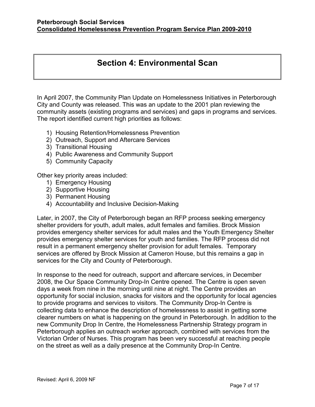## Section 4: Environmental Scan

In April 2007, the Community Plan Update on Homelessness Initiatives in Peterborough City and County was released. This was an update to the 2001 plan reviewing the community assets (existing programs and services) and gaps in programs and services. The report identified current high priorities as follows:

- 1) Housing Retention/Homelessness Prevention
- 2) Outreach, Support and Aftercare Services
- 3) Transitional Housing
- 4) Public Awareness and Community Support
- 5) Community Capacity

Other key priority areas included:

- 1) Emergency Housing
- 2) Supportive Housing
- 3) Permanent Housing
- 4) Accountability and Inclusive Decision-Making

Later, in 2007, the City of Peterborough began an RFP process seeking emergency shelter providers for youth, adult males, adult females and families. Brock Mission provides emergency shelter services for adult males and the Youth Emergency Shelter provides emergency shelter services for youth and families. The RFP process did not result in a permanent emergency shelter provision for adult females. Temporary services are offered by Brock Mission at Cameron House, but this remains a gap in services for the City and County of Peterborough.

In response to the need for outreach, support and aftercare services, in December 2008, the Our Space Community Drop-In Centre opened. The Centre is open seven days a week from nine in the morning until nine at night. The Centre provides an opportunity for social inclusion, snacks for visitors and the opportunity for local agencies to provide programs and services to visitors. The Community Drop-In Centre is collecting data to enhance the description of homelessness to assist in getting some clearer numbers on what is happening on the ground in Peterborough. In addition to the new Community Drop In Centre, the Homelessness Partnership Strategy program in Peterborough applies an outreach worker approach, combined with services from the Victorian Order of Nurses. This program has been very successful at reaching people on the street as well as a daily presence at the Community Drop-In Centre.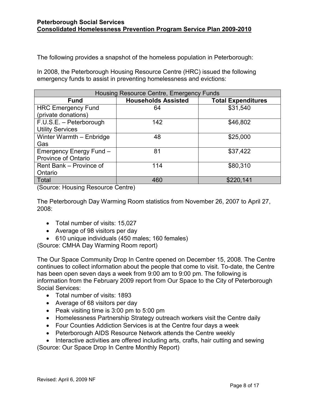The following provides a snapshot of the homeless population in Peterborough:

In 2008, the Peterborough Housing Resource Centre (HRC) issued the following emergency funds to assist in preventing homelessness and evictions:

| Housing Resource Centre, Emergency Funds |                            |                           |
|------------------------------------------|----------------------------|---------------------------|
| <b>Fund</b>                              | <b>Households Assisted</b> | <b>Total Expenditures</b> |
| <b>HRC Emergency Fund</b>                | 64                         | \$31,540                  |
| (private donations)                      |                            |                           |
| F.U.S.E. - Peterborough                  | 142                        | \$46,802                  |
| <b>Utility Services</b>                  |                            |                           |
| Winter Warmth - Enbridge                 | 48                         | \$25,000                  |
| Gas                                      |                            |                           |
| Emergency Energy Fund -                  | 81                         | \$37,422                  |
| <b>Province of Ontario</b>               |                            |                           |
| Rent Bank - Province of                  | 114                        | \$80,310                  |
| Ontario                                  |                            |                           |
| Total                                    | 460                        | \$220,141                 |

(Source: Housing Resource Centre)

The Peterborough Day Warming Room statistics from November 26, 2007 to April 27, 2008:

- Total number of visits: 15,027
- Average of 98 visitors per day
- 610 unique individuals (450 males; 160 females)

(Source: CMHA Day Warming Room report)

The Our Space Community Drop In Centre opened on December 15, 2008. The Centre continues to collect information about the people that come to visit. To-date, the Centre has been open seven days a week from 9:00 am to 9:00 pm. The following is information from the February 2009 report from Our Space to the City of Peterborough Social Services:

- Total number of visits: 1893
- Average of 68 visitors per day
- Peak visiting time is 3:00 pm to 5:00 pm
- Homelessness Partnership Strategy outreach workers visit the Centre daily
- Four Counties Addiction Services is at the Centre four days a week
- Peterborough AIDS Resource Network attends the Centre weekly
- Interactive activities are offered including arts, crafts, hair cutting and sewing

(Source: Our Space Drop In Centre Monthly Report)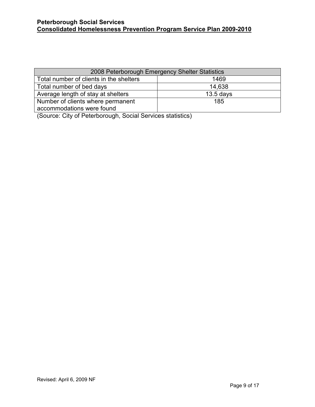| 2008 Peterborough Emergency Shelter Statistics |             |  |
|------------------------------------------------|-------------|--|
| Total number of clients in the shelters        | 1469        |  |
| Total number of bed days                       | 14,638      |  |
| Average length of stay at shelters             | $13.5$ days |  |
| Number of clients where permanent              | 185         |  |
| accommodations were found                      |             |  |

(Source: City of Peterborough, Social Services statistics)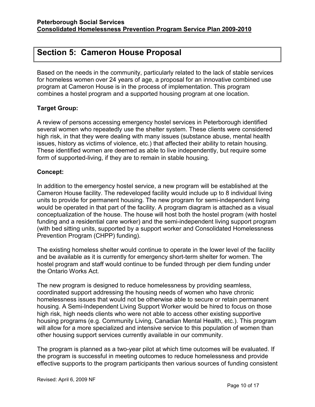## Section 5: Cameron House Proposal

Based on the needs in the community, particularly related to the lack of stable services for homeless women over 24 years of age, a proposal for an innovative combined use program at Cameron House is in the process of implementation. This program combines a hostel program and a supported housing program at one location.

#### Target Group:

A review of persons accessing emergency hostel services in Peterborough identified several women who repeatedly use the shelter system. These clients were considered high risk, in that they were dealing with many issues (substance abuse, mental health issues, history as victims of violence, etc.) that affected their ability to retain housing. These identified women are deemed as able to live independently, but require some form of supported-living, if they are to remain in stable housing.

#### Concept:

In addition to the emergency hostel service, a new program will be established at the Cameron House facility. The redeveloped facility would include up to 8 individual living units to provide for permanent housing. The new program for semi-independent living would be operated in that part of the facility. A program diagram is attached as a visual conceptualization of the house. The house will host both the hostel program (with hostel funding and a residential care worker) and the semi-independent living support program (with bed sitting units, supported by a support worker and Consolidated Homelessness Prevention Program (CHPP) funding).

The existing homeless shelter would continue to operate in the lower level of the facility and be available as it is currently for emergency short-term shelter for women. The hostel program and staff would continue to be funded through per diem funding under the Ontario Works Act.

The new program is designed to reduce homelessness by providing seamless, coordinated support addressing the housing needs of women who have chronic homelessness issues that would not be otherwise able to secure or retain permanent housing. A Semi-Independent Living Support Worker would be hired to focus on those high risk, high needs clients who were not able to access other existing supportive housing programs (e.g. Community Living, Canadian Mental Health, etc.). This program will allow for a more specialized and intensive service to this population of women than other housing support services currently available in our community.

The program is planned as a two-year pilot at which time outcomes will be evaluated. If the program is successful in meeting outcomes to reduce homelessness and provide effective supports to the program participants then various sources of funding consistent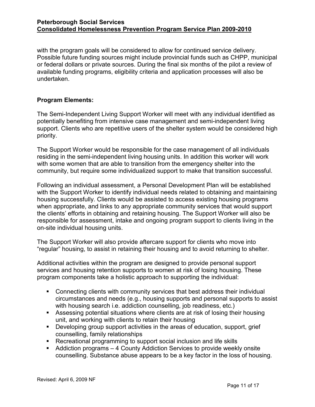with the program goals will be considered to allow for continued service delivery. Possible future funding sources might include provincial funds such as CHPP, municipal or federal dollars or private sources. During the final six months of the pilot a review of available funding programs, eligibility criteria and application processes will also be undertaken.

#### Program Elements:

The Semi-Independent Living Support Worker will meet with any individual identified as potentially benefiting from intensive case management and semi-independent living support. Clients who are repetitive users of the shelter system would be considered high priority.

The Support Worker would be responsible for the case management of all individuals residing in the semi-independent living housing units. In addition this worker will work with some women that are able to transition from the emergency shelter into the community, but require some individualized support to make that transition successful.

Following an individual assessment, a Personal Development Plan will be established with the Support Worker to identify individual needs related to obtaining and maintaining housing successfully. Clients would be assisted to access existing housing programs when appropriate, and links to any appropriate community services that would support the clients' efforts in obtaining and retaining housing. The Support Worker will also be responsible for assessment, intake and ongoing program support to clients living in the on-site individual housing units.

The Support Worker will also provide aftercare support for clients who move into "regular" housing, to assist in retaining their housing and to avoid returning to shelter.

Additional activities within the program are designed to provide personal support services and housing retention supports to women at risk of losing housing. These program components take a holistic approach to supporting the individual:

- Connecting clients with community services that best address their individual circumstances and needs (e.g., housing supports and personal supports to assist with housing search i.e. addiction counselling, job readiness, etc.)
- Assessing potential situations where clients are at risk of losing their housing unit, and working with clients to retain their housing
- Developing group support activities in the areas of education, support, grief counselling, family relationships
- Recreational programming to support social inclusion and life skills
- Addiction programs 4 County Addiction Services to provide weekly onsite counselling. Substance abuse appears to be a key factor in the loss of housing.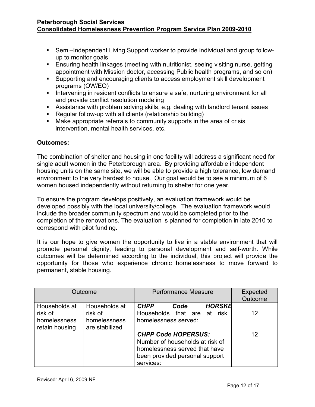- Semi–Independent Living Support worker to provide individual and group followup to monitor goals
- Ensuring health linkages (meeting with nutritionist, seeing visiting nurse, getting appointment with Mission doctor, accessing Public health programs, and so on)
- Supporting and encouraging clients to access employment skill development programs (OW/EO)
- Intervening in resident conflicts to ensure a safe, nurturing environment for all and provide conflict resolution modeling
- Assistance with problem solving skills, e.g. dealing with landlord tenant issues
- Regular follow-up with all clients (relationship building)
- Make appropriate referrals to community supports in the area of crisis intervention, mental health services, etc.

#### Outcomes:

The combination of shelter and housing in one facility will address a significant need for single adult women in the Peterborough area. By providing affordable independent housing units on the same site, we will be able to provide a high tolerance, low demand environment to the very hardest to house. Our goal would be to see a minimum of 6 women housed independently without returning to shelter for one year.

To ensure the program develops positively, an evaluation framework would be developed possibly with the local university/college. The evaluation framework would include the broader community spectrum and would be completed prior to the completion of the renovations. The evaluation is planned for completion in late 2010 to correspond with pilot funding.

It is our hope to give women the opportunity to live in a stable environment that will promote personal dignity, leading to personal development and self-worth. While outcomes will be determined according to the individual, this project will provide the opportunity for those who experience chronic homelessness to move forward to permanent, stable housing.

|                                                            | Outcome                                                    | <b>Performance Measure</b><br>Expected<br>Outcome                                                                                                   |  |
|------------------------------------------------------------|------------------------------------------------------------|-----------------------------------------------------------------------------------------------------------------------------------------------------|--|
| Households at<br>risk of<br>homelessness<br>retain housing | Households at<br>risk of<br>homelessness<br>are stabilized | <b>HORSKE</b><br><b>CHPP</b><br>Code<br>Households that are at risk<br>12<br>homelessness served:                                                   |  |
|                                                            |                                                            | <b>CHPP Code HOPERSUS:</b><br>12<br>Number of households at risk of<br>homelessness served that have<br>been provided personal support<br>services: |  |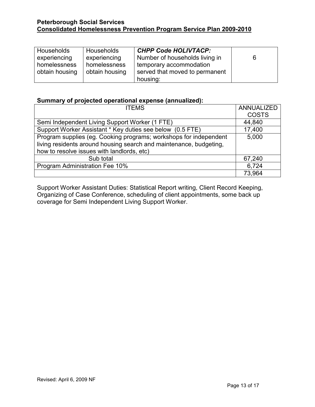| Households     | Households     | <b>CHPP Code HOLIVTACP:</b>    |   |
|----------------|----------------|--------------------------------|---|
| experiencing   | experiencing   | Number of households living in | 6 |
| homelessness   | homelessness   | temporary accommodation        |   |
| obtain housing | obtain housing | served that moved to permanent |   |
|                |                | housing:                       |   |

#### Summary of projected operational expense (annualized):

| <b>ITEMS</b>                                                       | ANNUALIZED   |
|--------------------------------------------------------------------|--------------|
|                                                                    | <b>COSTS</b> |
| Semi Independent Living Support Worker (1 FTE)                     | 44,840       |
| Support Worker Assistant * Key duties see below (0.5 FTE)          | 17,400       |
| Program supplies (eg. Cooking programs; workshops for independent  | 5,000        |
| living residents around housing search and maintenance, budgeting, |              |
| how to resolve issues with landlords, etc)                         |              |
| Sub total                                                          | 67,240       |
| Program Administration Fee 10%                                     | 6,724        |
|                                                                    | 73,964       |

Support Worker Assistant Duties: Statistical Report writing, Client Record Keeping, Organizing of Case Conference, scheduling of client appointments, some back up coverage for Semi Independent Living Support Worker.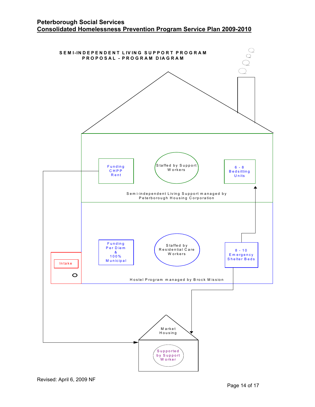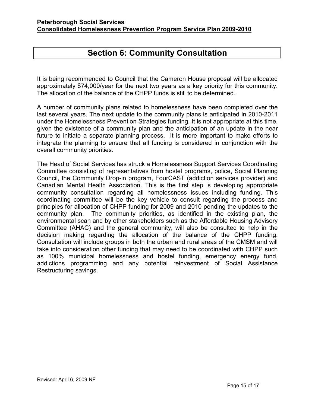## Section 6: Community Consultation

It is being recommended to Council that the Cameron House proposal will be allocated approximately \$74,000/year for the next two years as a key priority for this community. The allocation of the balance of the CHPP funds is still to be determined.

A number of community plans related to homelessness have been completed over the last several years. The next update to the community plans is anticipated in 2010-2011 under the Homelessness Prevention Strategies funding. It is not appropriate at this time, given the existence of a community plan and the anticipation of an update in the near future to initiate a separate planning process. It is more important to make efforts to integrate the planning to ensure that all funding is considered in conjunction with the overall community priorities.

The Head of Social Services has struck a Homelessness Support Services Coordinating Committee consisting of representatives from hostel programs, police, Social Planning Council, the Community Drop-in program, FourCAST (addiction services provider) and Canadian Mental Health Association. This is the first step is developing appropriate community consultation regarding all homelessness issues including funding. This coordinating committee will be the key vehicle to consult regarding the process and principles for allocation of CHPP funding for 2009 and 2010 pending the updates to the community plan. The community priorities, as identified in the existing plan, the environmental scan and by other stakeholders such as the Affordable Housing Advisory Committee (AHAC) and the general community, will also be consulted to help in the decision making regarding the allocation of the balance of the CHPP funding. Consultation will include groups in both the urban and rural areas of the CMSM and will take into consideration other funding that may need to be coordinated with CHPP such as 100% municipal homelessness and hostel funding, emergency energy fund, addictions programming and any potential reinvestment of Social Assistance Restructuring savings.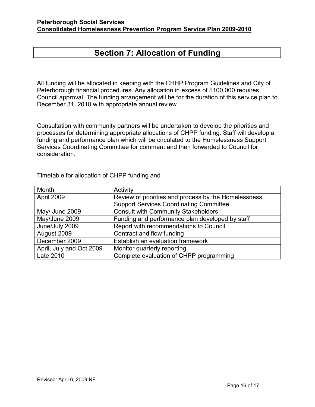## Section 7: Allocation of Funding

All funding will be allocated in keeping with the CHHP Program Guidelines and City of Peterborough financial procedures. Any allocation in excess of \$100,000 requires Council approval. The funding arrangement will be for the duration of this service plan to December 31, 2010 with appropriate annual review.

Consultation with community partners will be undertaken to develop the priorities and processes for determining appropriate allocations of CHPP funding. Staff will develop a funding and performance plan which will be circulated to the Homelessness Support Services Coordinating Committee for comment and then forwarded to Council for consideration.

| Month                    | Activity                                             |
|--------------------------|------------------------------------------------------|
| April 2009               | Review of priorities and process by the Homelessness |
|                          | <b>Support Services Coordinating Committee</b>       |
| May/ June 2009           | <b>Consult with Community Stakeholders</b>           |
| May/June 2009            | Funding and performance plan developed by staff      |
| June/July 2009           | Report with recommendations to Council               |
| August 2009              | Contract and flow funding                            |
| December 2009            | Establish an evaluation framework                    |
| April, July and Oct 2009 | Monitor quarterly reporting                          |
| Late 2010                | Complete evaluation of CHPP programming              |

Timetable for allocation of CHPP funding and